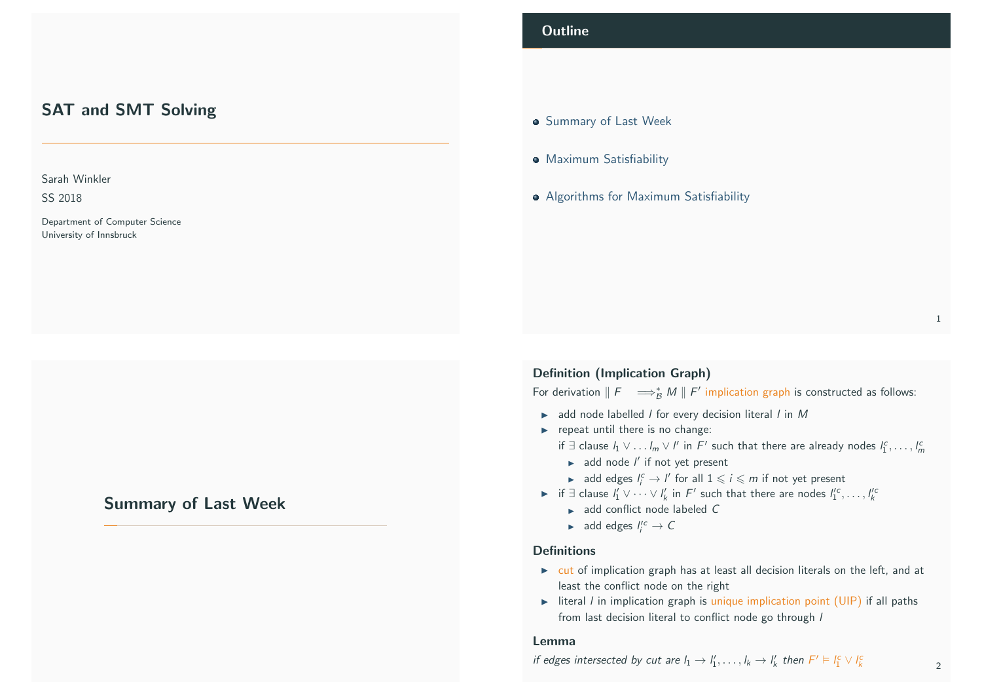# SAT and SMT Solving

### Sarah Winkler

SS 2018

Department of Computer Science University of Innsbruck

# <span id="page-0-0"></span>[Summary of Last W](#page-0-0)eek

# **Outline**

- **Summary of Last Week**
- Maximum Satisfiability
- Algorithms for Maximum Satisfiability

### Definition (Implication Graph)

For derivation  $\parallel F \parallel \Longrightarrow_B^* M \parallel F'$  implication graph is constructed as follows:

- $\blacktriangleright$  add node labelled *l* for every decision literal *l* in *M*
- $\blacktriangleright$  repeat until there is no change:
	- if ∃ clause  $l_1 \vee \ldots l_m \vee l'$  in  $F'$  such that there are already nodes  $l_1^c, \ldots, l_m^c$ 
		- $\blacktriangleright$  add node  $I'$  if not yet present
	- **ightar** add edges  $I_i^c \rightarrow I'$  for all  $1 \leqslant i \leqslant m$  if not yet present
- ► if  $\exists$  clause  $l'_1 \vee \cdots \vee l'_k$  in  $F'$  such that there are nodes  $l''_1$ <sup>c</sup>,...,  $l'^c_k$ 
	- $\blacktriangleright$  add conflict node labeled C
	- add edges  $I_i'^c \to C$

### **Definitions**

- $\triangleright$  cut of implication graph has at least all decision literals on the left, and at least the conflict node on the right
- iteral *l* in implication graph is unique implication point (UIP) if all paths from last decision literal to conflict node go through /

### Lemma

if edges intersected by cut are  $l_1 \to l'_1, \ldots, l_k \to l'_k$  then  $F' \vDash l_1^c \vee l'_k$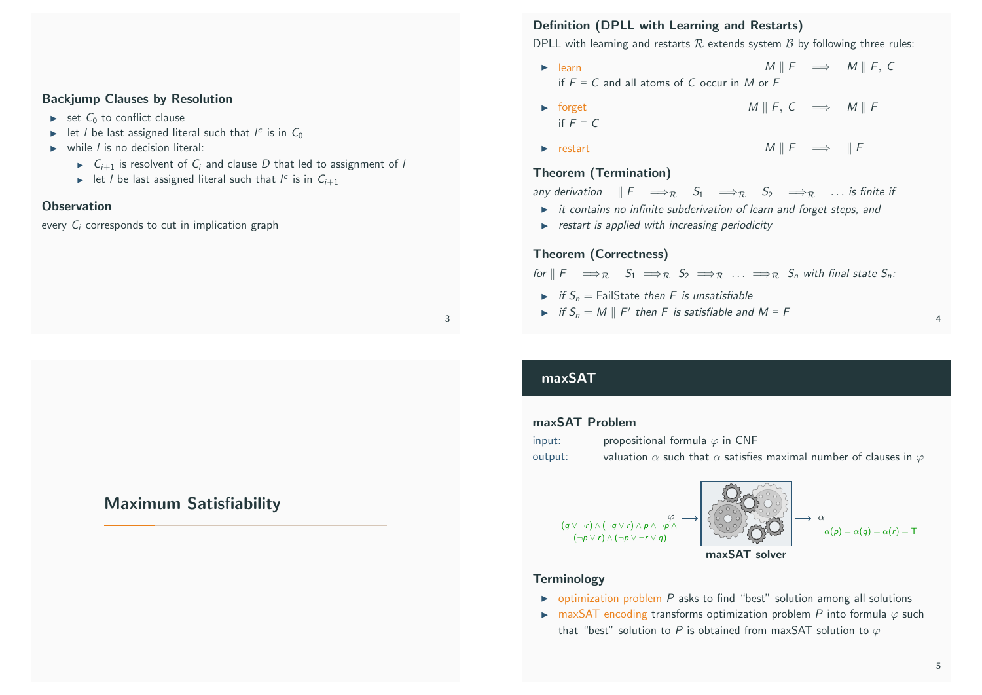### Backjump Clauses by Resolution

- $\triangleright$  set  $C_0$  to conflict clause
- In let *l* be last assigned literal such that  $l^c$  is in  $C_0$
- $\triangleright$  while *l* is no decision literal:
	- $\triangleright$   $C_{i+1}$  is resolvent of  $C_i$  and clause D that led to assignment of l
	- In let l be last assigned literal such that  $I^c$  is in  $C_{i+1}$

### **Observation**

every  $C_i$  corresponds to cut in implication graph

# <span id="page-1-0"></span>[Maximum Satisfiab](#page-1-0)ility

# Definition (DPLL with Learning and Restarts)

DPLL with learning and restarts  $R$  extends system  $B$  by following three rules:

- $\triangleright$  learn M || F  $\implies$  M || F, C if  $F \models C$  and all atoms of C occur in M or F
- $\triangleright$  forget M || F, C  $\implies$  M || F if  $F \models C$
- $\triangleright$  restart  $M \parallel F \implies \parallel F$

## Theorem (Termination)

any derivation  $\Vert F \Vert \Rightarrow_R S_1 \Vert \Rightarrow_R S_2 \Vert \Rightarrow_R \dots$  is finite if

- $\triangleright$  it contains no infinite subderivation of learn and forget steps, and
- $\triangleright$  restart is applied with increasing periodicity

### Theorem (Correctness)

for  $\|F \implies_R S_1 \implies_R S_2 \implies_R \ldots \implies_R S_n$  with final state  $S_n$ :

- $\triangleright$  if  $S_n =$  FailState then F is unsatisfiable
- if  $S_n = M \parallel F'$  then F is satisfiable and  $M \vDash F$

# 3

## maxSAT

### maxSAT Problem

| input:  | propositional formula $\varphi$ in CNF                                                 |
|---------|----------------------------------------------------------------------------------------|
| output: | valuation $\alpha$ such that $\alpha$ satisfies maximal number of clauses in $\varphi$ |



### **Terminology**

- $\rightarrow$  optimization problem P asks to find "best" solution among all solutions
- **IF** maxSAT encoding transforms optimization problem P into formula  $\varphi$  such that "best" solution to P is obtained from maxSAT solution to  $\varphi$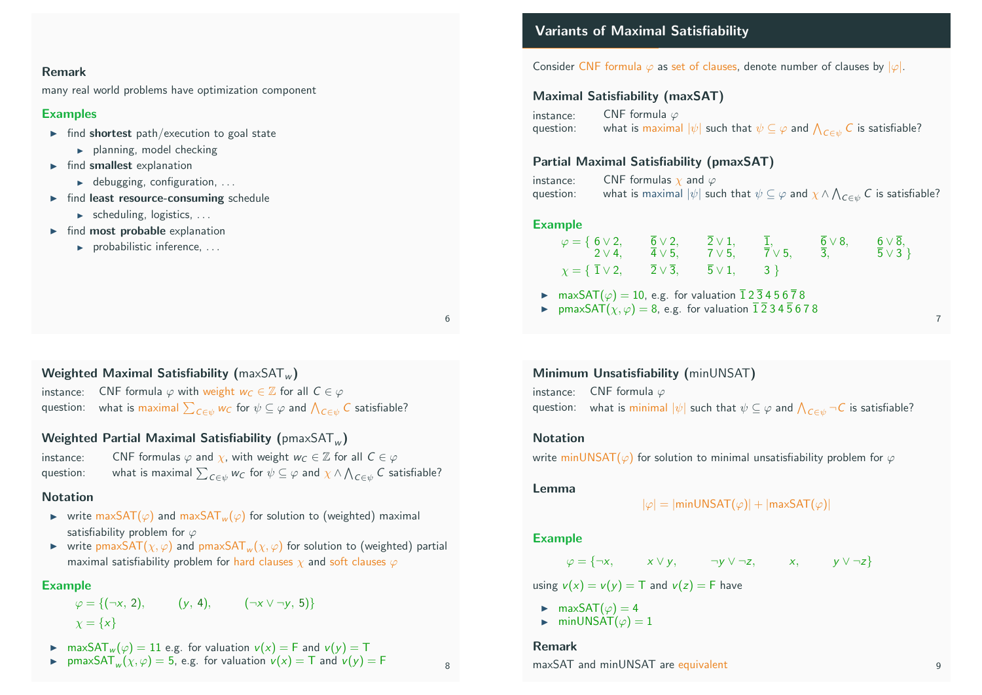### Remark

many real world problems have optimization component

### **Examples**

- $\blacktriangleright$  find shortest path/execution to goal state
	- $\blacktriangleright$  planning, model checking
- $\blacktriangleright$  find smallest explanation
	- $\blacktriangleright$  debugging, configuration, ...
- $\blacktriangleright$  find least resource-consuming schedule
	- $\triangleright$  scheduling, logistics, ...
- $\blacktriangleright$  find most probable explanation
	- $\blacktriangleright$  probabilistic inference, ...

6

# Weighted Maximal Satisfiability ( $maxSAT_w$ )

instance: CNF formula  $\varphi$  with weight  $w_C \in \mathbb{Z}$  for all  $C \in \varphi$ question:  $\mod$  what is maximal  $\sum_{C\in\psi}w_C$  for  $\psi\subseteq\varphi$  and  $\bigwedge_{C\in\psi}C$  satisfiable?

# Weighted Partial Maximal Satisfiability ( $pmaxSAT_w$ )

instance: CNF formulas  $\varphi$  and  $\chi$ , with weight  $w_c \in \mathbb{Z}$  for all  $C \in \varphi$ question:  $\;\;\;\;\;$  what is maximal  $\sum_{\mathcal{C}\in\psi}w_\mathcal{C}$  for  $\psi\subseteq\varphi$  and  $\chi\wedge\bigwedge_{\mathcal{C}\in\psi}\mathcal{C}$  satisfiable?

## Notation

- $\triangleright$  write maxSAT( $\varphi$ ) and maxSAT<sub>w</sub>( $\varphi$ ) for solution to (weighted) maximal satisfiability problem for  $\varphi$
- ightharpoontail write pmaxSAT( $\chi$ ,  $\varphi$ ) and pmaxSAT<sub>w</sub>( $\chi$ ,  $\varphi$ ) for solution to (weighted) partial maximal satisfiability problem for hard clauses  $\chi$  and soft clauses  $\varphi$

## Example

$$
\varphi = \{ (\neg x, 2), \qquad (y, 4), \qquad (\neg x \lor \neg y, 5) \}
$$
  
\n $\chi = \{x\}$ 

- **IF** maxSAT<sub>w</sub> $(\varphi) = 11$  e.g. for valuation  $v(x) = F$  and  $v(y) = T$
- **PMAXSAT**<sub>w</sub> $(\chi, \varphi) = 5$ , e.g. for valuation  $v(x) = T$  and  $v(y) = F$  8

# Variants of Maximal Satisfiability

Consider CNF formula  $\varphi$  as set of clauses, denote number of clauses by  $|\varphi|$ .

# Maximal Satisfiability (maxSAT)

instance: CNF formula  $\varphi$ question:  $\;\;\;\;\;$  what is maximal  $|\psi|$  such that  $\psi \subseteq \varphi$  and  $\bigwedge_{C \in \psi} C$  is satisfiable?

# Partial Maximal Satisfiability (pmaxSAT)

instance: CNF formulas  $\chi$  and  $\varphi$ question:  $\;\;\;\;\;$  what is maximal  $|\psi|$  such that  $\psi\subseteq\varphi$  and  $\chi\wedge\bigwedge_{\mathcal{C}\in\psi}\mathcal{C}$  is satisfiable?

## Example

| $\varphi = \{ 6 \vee 2,$<br>$2 \vee 4$                                                          | $\overline{6} \vee 2,$<br>$4 \vee 5$ | $\overline{2} \vee 1,$<br>$7 \vee 5,$ | $\frac{\overline{1}}{7}$ , $\frac{\overline{6}}{3}$ , $\sqrt{8}$ , | $\frac{6}{5} \vee \overline{8},$<br>$\frac{6}{5} \vee 3$ |
|-------------------------------------------------------------------------------------------------|--------------------------------------|---------------------------------------|--------------------------------------------------------------------|----------------------------------------------------------|
| $\bar{\chi} = \{\ \bar{1} \vee 2, \quad \bar{2} \vee \bar{3}, \quad \bar{5} \vee 1, \quad 3 \}$ |                                      |                                       |                                                                    |                                                          |

► maxSAT( $\varphi$ ) = 10, e.g. for valuation  $\overline{1}$  2  $\overline{3}$  4 5 6  $\overline{7}$  8

**IF** pmaxSAT $(y, \varphi) = 8$ , e.g. for valuation  $\overline{1} \overline{2} 3 4 \overline{5} 6 7 8$ 

Minimum Unsatisfiability (minUNSAT)

instance: CNF formula  $\varphi$ question:  $\|$  what is minimal  $|\psi|$  such that  $\psi\subseteq\varphi$  and  $\bigwedge_{C\in\psi}\neg C$  is satisfiable?

## **Notation**

write minUNSAT( $\varphi$ ) for solution to minimal unsatisfiability problem for  $\varphi$ 

Lemma

$$
|\varphi| = |\text{minUNSAT}(\varphi)| + |\text{maxSAT}(\varphi)|
$$

## Example

# $\varphi = \{\neg x, \quad x \lor y, \quad \neg y \lor \neg z, \quad x, \quad y \lor \neg z\}$

using  $v(x) = v(y) = T$  and  $v(z) = F$  have

- $\blacktriangleright$  maxSAT( $\varphi$ ) = 4
- $\blacktriangleright$  minUNSAT( $\varphi$ ) = 1

## Remark

maxSAT and minUNSAT are equivalent and provide the property of  $\overline{9}$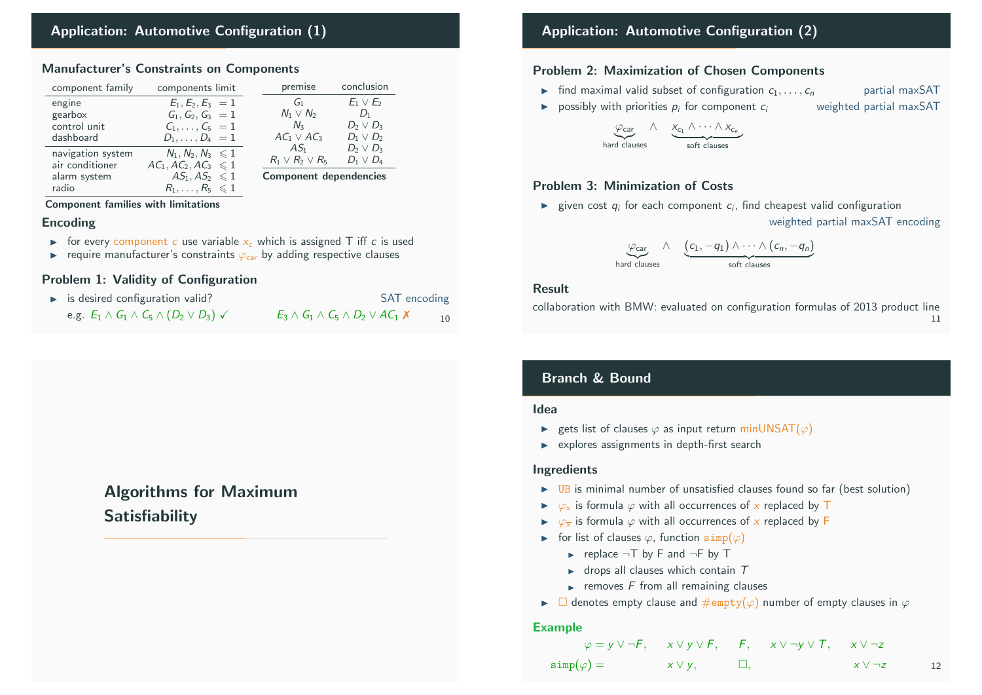# Application: Automotive Configuration (1)

### Manufacturer's Constraints on Components

| component family  | components limit            | premise                       | conclusion     |
|-------------------|-----------------------------|-------------------------------|----------------|
| engine            | $E_1, E_2, E_3 = 1$         | G1                            | $E_1 \vee E_2$ |
| gearbox           | $G_1, G_2, G_3 = 1$         | $N_1 \vee N_2$                | $D_1$          |
| control unit      | $C_1, \ldots, C_5 = 1$      | $N_{3}$                       | $D_2 \vee D_3$ |
| dashboard         | $D_1, \ldots, D_4 = 1$      | $AC_1 \vee AC_3$              | $D_1 \vee D_2$ |
| navigation system | $N_1, N_2, N_3 \leq 1$      | AS <sub>1</sub>               | $D_2 \vee D_3$ |
| air conditioner   | $AC_1, AC_2, AC_3 \leq 1$   | $R_1 \vee R_2 \vee R_5$       | $D_1 \vee D_4$ |
| alarm system      | $AS_1, AS_2 \leq 1$         | <b>Component dependencies</b> |                |
| radio             | $R_1,\ldots,R_5\leqslant 1$ |                               |                |

Component families with limitations

### Encoding

- For every component c use variable  $x_c$  which is assigned T iff c is used
- F require manufacturer's constraints  $\varphi_{\text{car}}$  by adding respective clauses

## Problem 1: Validity of Configuration

<span id="page-3-0"></span>

| $\triangleright$ is desired configuration valid?                  | SAT encoding                                             |
|-------------------------------------------------------------------|----------------------------------------------------------|
| e.g. $E_1 \wedge G_1 \wedge C_5 \wedge (D_2 \vee D_3) \checkmark$ | $E_3 \wedge G_1 \wedge C_5 \wedge D_2 \vee AC_1$ X<br>10 |

# Algorithms for Maximum **[Satisfiability](#page-3-0)**

# Application: Automotive Configuration (2)

### Problem 2: Maximization of Chosen Components

- ightharpoonup ind maximal valid subset of configuration  $c_1, \ldots, c_n$  partial maxSAT
- **In possibly with priorities**  $p_i$  **for component**  $c_i$  **weighted partial maxSAT**

$$
\underbrace{\varphi_{\text{car}} \wedge \quad \underbrace{x_{c_1} \wedge \cdots \wedge x_{c_n}}_{\text{soft clauses}}}
$$

### Problem 3: Minimization of Costs

ighthrooporporal piece  $q_i$  for each component  $c_i$ , find cheapest valid configuration weighted partial maxSAT encoding

$$
\underbrace{\varphi_{\text{car}}} \wedge \underbrace{(c_1, -q_1) \wedge \cdots \wedge (c_n, -q_n)}_{\text{soft clauses}}
$$

### Result

collaboration with BMW: evaluated on configuration formulas of 2013 product line 11

# Branch & Bound

#### Idea

- **Example 1** gets list of clauses  $\varphi$  as input return minUNSAT( $\varphi$ )
- $\triangleright$  explores assignments in depth-first search

## Ingredients

- $\triangleright$  UB is minimal number of unsatisfied clauses found so far (best solution)
- $\triangleright \varphi_x$  is formula  $\varphi$  with all occurrences of x replaced by T
- $\triangleright \varphi_{\overline{x}}$  is formula  $\varphi$  with all occurrences of x replaced by F
- $\triangleright$  for list of clauses  $\varphi$ , function simp( $\varphi$ )
	- replace  $\neg$ T by F and  $\neg$ F by T
	- $\blacktriangleright$  drops all clauses which contain  $T$
	- $\blacktriangleright$  removes F from all remaining clauses
- $\triangleright$   $\Box$  denotes empty clause and  $\#\text{empty}(\varphi)$  number of empty clauses in  $\varphi$

#### Example

$$
\varphi = y \lor \neg F, \quad x \lor y \lor F, \quad F, \quad x \lor \neg y \lor T, \quad x \lor \neg z
$$
  
\n
$$
\text{simp}(\varphi) = x \lor y, \qquad \Box, \qquad x \lor \neg z
$$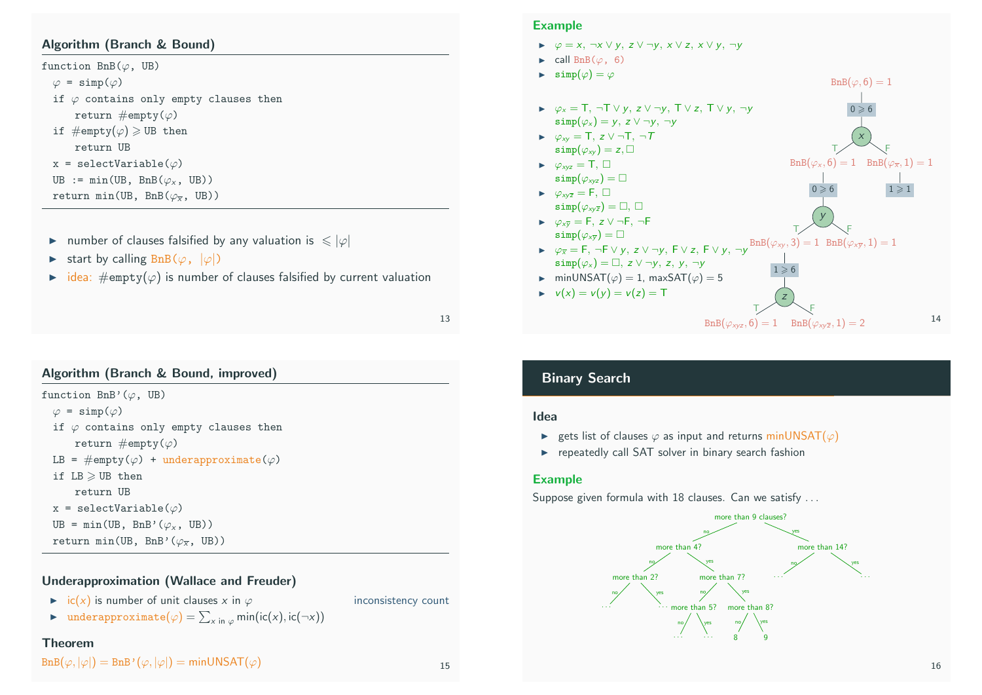# Algorithm (Branch & Bound)

function  $BnB(\varphi, UB)$  $\varphi = \text{simp}(\varphi)$ if  $\varphi$  contains only empty clauses then return  $\#\mathrm{empty}(\varphi)$ if  $\#\text{empty}(\varphi) \geq 0$ B then return UB  $x = selectVariable(\varphi)$ UB :=  $min(UB, BnB(\varphi_x, UB))$ return min(UB, BnB $(\varphi_{\overline{x}}, \overline{UB})$ )

- **If** number of clauses falsified by any valuation is  $\leq$   $|\varphi|$
- Start by calling  $BnB(\varphi, |\varphi|)$
- idea: #empty( $\varphi$ ) is number of clauses falsified by current valuation

13

## Algorithm (Branch & Bound, improved)

function  $BnB'(\varphi, UB)$  $\varphi = \text{simp}(\varphi)$ if  $\varphi$  contains only empty clauses then return  $\#$ empty $(\varphi)$ LB =  $\#empty(\varphi)$  + underapproximate( $\varphi$ ) if  $LB \geqslant UB$  then return UB x = selectVariable $(\varphi)$ UB = min(UB, BnB'( $\varphi_x$ , UB)) return min(UB, BnB'( $\varphi_{\overline{x}}$ , UB))

### Underapproximation (Wallace and Freuder)

- $\triangleright$  ic(x) is number of unit clauses x in  $\varphi$  inconsistency count
- **Inderapproximate**  $(\varphi) = \sum_{x \in \mathsf{in} \varphi} \min(\mathsf{ic}(x), \mathsf{ic}(\neg x))$

#### Theorem

```
\text{BnB}(\varphi, |\varphi|) = \text{BnB'}(\varphi, |\varphi|) = \text{minUNSAT}(\varphi) 15
```
### Example

- $\triangleright \varphi = x, \neg x \vee y, z \vee \neg y, x \vee z, x \vee y, \neg y$
- $\blacktriangleright$  call BnB( $\varphi$ , 6)
- $\blacktriangleright$  simp $(\varphi) = \varphi$
- $\triangleright \varphi_x = T$ ,  $\neg T \vee y$ ,  $z \vee \neg y$ ,  $T \vee z$ ,  $T \vee y$ ,  $\neg y$  $\text{simp}(\varphi_x) = v, z \vee \neg v, \neg v$
- $\triangleright \varphi_{xy} = T, z \vee \neg T, \neg T$  $\text{simp}(\varphi_{xy})=z,\square$
- $\triangleright \varphi_{xyz} = T, \square$  $\text{simp}(\varphi_{xyz}) = \Box$
- $\triangleright \varphi_{xyz} = F, \square$  $\text{simp}(\varphi_{xy\bar{z}}) = \Box, \Box$
- $\triangleright \varphi_{x\overline{y}} = F, z \vee \neg F, \neg F$  $\texttt{simp}(\varphi_{\mathsf{x}\overline{\mathsf{y}}})=\Box$
- $\Rightarrow \varphi_{\overline{x}} = F, \neg F \lor y, z \lor \neg y, F \lor z, F \lor y, \neg y \overset{\text{BnB}}{\rightarrow} (\varphi_{xy}, 3) = 1$  $\texttt{simp}(\varphi_x) = \Box, z \lor \neg y, z, y, \neg y$  $1 \geqslant 6$
- $\triangleright$  minUNSAT( $\varphi$ ) = 1, maxSAT( $\varphi$ ) = 5
- $V(x) = V(y) = V(z) = T$

 $BnB(\varphi,6)=1$ 

 $0 \geq 6$ 

x

 ${\tt BnB}(\varphi_\mathsf{x}, 6) = 1\quad {\tt BnB}(\varphi_{\overline{\mathsf{x}}}, 1) = 1$ 

 $1 \geqslant 1$ 

F

 ${\tt BnB}(\varphi_{\mathsf{x}\overline{\mathsf{y}}},1) = 1$ F

 $0 \geq 6$ 

T,

y

F

z

T,

T,

 ${\tt BnB}(\varphi_{\sf xyz}, 6) = 1 \ \ \ \ \ {\tt BnB}(\varphi_{\sf xy \overline{\sf z}}, 1) = 2$ 

## Binary Search

### Idea

- **Example 1** gets list of clauses  $\varphi$  as input and returns minUNSAT( $\varphi$ )
- $\blacktriangleright$  repeatedly call SAT solver in binary search fashion

### Example

Suppose given formula with 18 clauses. Can we satisfy . . .

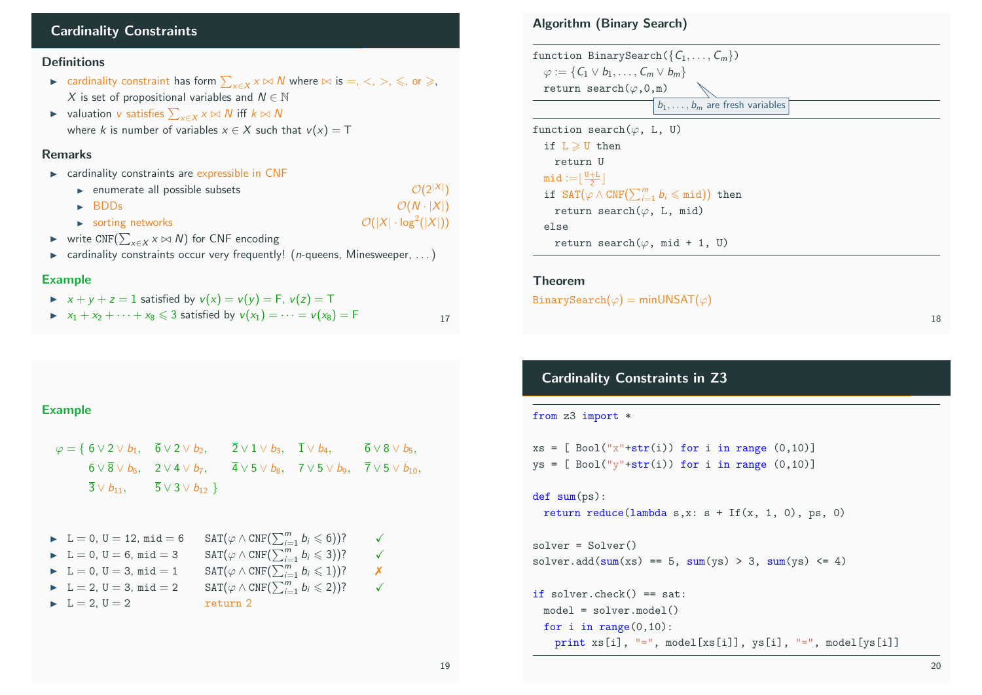# Cardinality Constraints

### **Definitions**

- ► cardinality constraint has form  $\sum_{x \in X} x \bowtie N$  where  $\bowtie$  is  $=, <, >, \le,$  or  $\ge,$ X is set of propositional variables and  $N \in \mathbb{N}$
- ► valuation *v* satisfies  $\sum_{x \in X} x \bowtie N$  iff  $k \bowtie N$ where k is number of variables  $x \in X$  such that  $v(x) = T$

### Remarks

- $\triangleright$  cardinality constraints are expressible in CNF
	- $\blacktriangleright$  enumerate all possible subsets  $\mathcal{O}(2^{|X|})$
	- $\triangleright$  BDDs  $\mathcal{O}(N \cdot |X|)$  $\mathcal{O}(|X|\cdot \log^2(|X|))$
	- $\triangleright$  sorting networks
- ► write  $\text{CNF}(\sum_{x \in X} x \bowtie N)$  for CNF encoding
- $\triangleright$  cardinality constraints occur very frequently! (*n*-queens, Minesweeper, ...)

### Example

- $x + y + z = 1$  satisfied by  $v(x) = v(y) = F$ ,  $v(z) = T$
- $\triangleright$   $x_1 + x_2 + \cdots + x_8 \le 3$  satisfied by  $v(x_1) = \cdots = v(x_8) = F$  17

# Algorithm (Binary Search)

| function BinarySearch( $\{C_1,\ldots,C_m\}$ )<br>$\varphi := \{ \mathcal{C}_1 \vee b_1, \ldots, \mathcal{C}_m \vee b_m \}$<br>return search $(\varphi, 0, m)$<br>$b_1, \ldots, b_m$ are fresh variables |
|---------------------------------------------------------------------------------------------------------------------------------------------------------------------------------------------------------|
| function search $(\varphi, L, U)$                                                                                                                                                                       |
| if $L \geqslant U$ then                                                                                                                                                                                 |
| return U                                                                                                                                                                                                |
| $mid :=  \frac{U+L}{2} $                                                                                                                                                                                |
| if $\text{SAT}(\varphi \wedge \text{CNF}(\sum_{i=1}^{m} b_i \leq \text{mid}))$ then                                                                                                                     |
| return search $(\varphi, L, mid)$                                                                                                                                                                       |
| else                                                                                                                                                                                                    |
| return search $(\varphi, \text{mid } + 1, \text{U})$                                                                                                                                                    |
|                                                                                                                                                                                                         |

### Theorem

```
BinarvSearch(\varphi) = minUNSAT(\varphi)
```
# Cardinality Constraints in Z3

### from z3 import \*

```
xs = [ Bool("x"+str(i)) for i in range (0,10)]
ys = [ Bool("y"+str(i)) for i in range (0,10)]
```

```
def sum(ps):
```

```
return reduce(lambda s,x: s + If(x, 1, 0), ps, 0)
```

```
solver = Solver()
solver.add(sum(xs) == 5, sum(ys) > 3, sum(ys) <= 4)
```

```
if solver.check() == sat:
 model = solver.model()
 for i in range(0,10):
   print xs[i], "=", model[xs[i]], ys[i], "=", model[ys[i]]
```
### Example

```
ϕ = { 6 ∨ 2 ∨ b1, 6 ∨ 2 ∨ b2, 2 ∨ 1 ∨ b3, 1 ∨ b4, 6 ∨ 8 ∨ b5,
         6 \vee \overline{8} \vee b_6, 2 \vee 4 \vee b_7, \overline{4} \vee 5 \vee b_8, 7 \vee 5 \vee b_9, \overline{7} \vee 5 \vee b_{10},
         \overline{3} \vee b_{11}, \overline{5} \vee 3 \vee b_{12}
```

```
► L = 0, U = 12, mid = 6
                                                           \sum_{i=1}^{m} b_i \leq 6)? \checkmark► L = 0, U = 6, mid = 3
                                                           \sum_{i=1}^{m} b_i \leqslant 3)? \checkmark\blacktriangleright L = 0, U = 3, mid = 1
                                                           \sum_{i=1}^{m} b_i \leqslant 1)? x
```

```
L = 2, U = 3, mid = 2\sum_{i=1}^{m} b_i \leqslant 2)? \checkmark
```

```
L = 2, U = 2 return 2
```